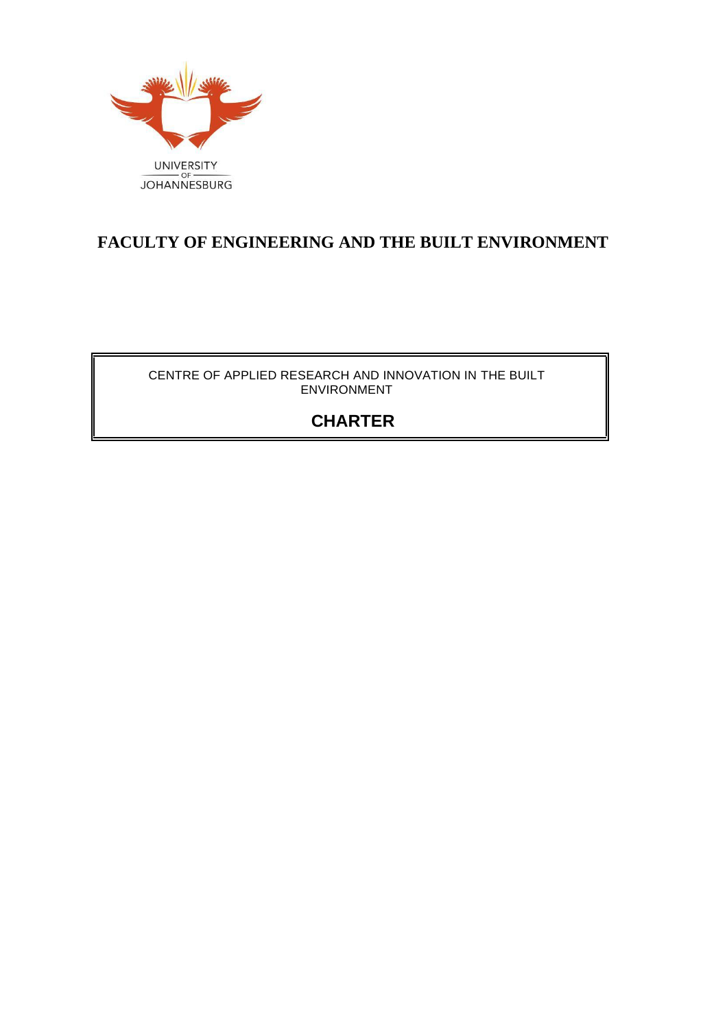

## **FACULTY OF ENGINEERING AND THE BUILT ENVIRONMENT**

CENTRE OF APPLIED RESEARCH AND INNOVATION IN THE BUILT ENVIRONMENT

# **CHARTER**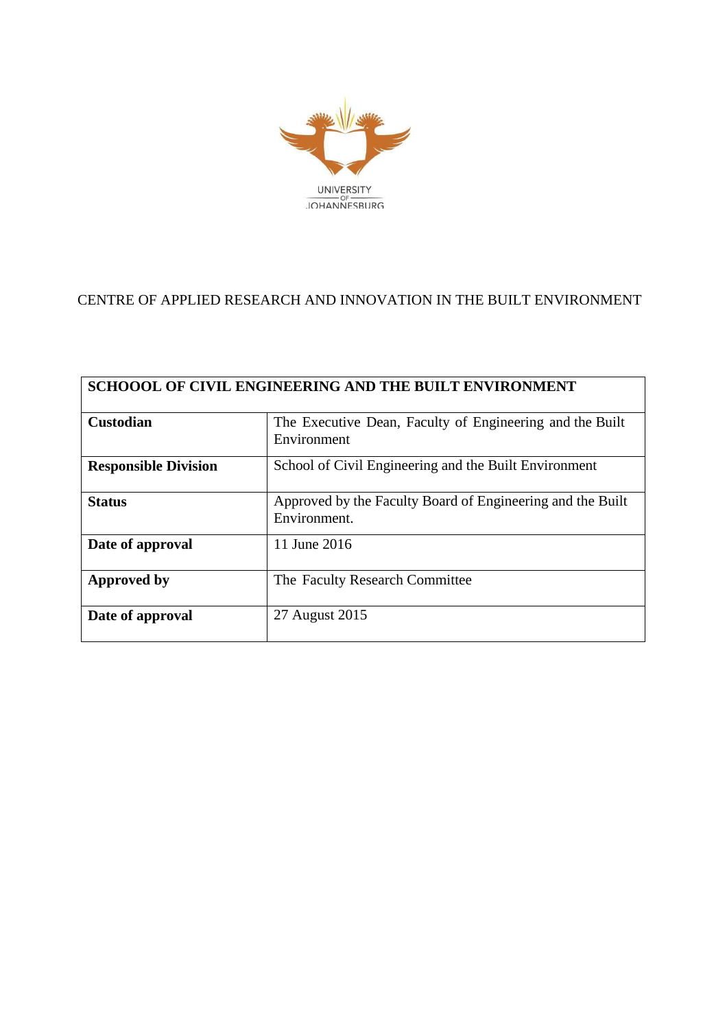

## CENTRE OF APPLIED RESEARCH AND INNOVATION IN THE BUILT ENVIRONMENT

| SCHOOOL OF CIVIL ENGINEERING AND THE BUILT ENVIRONMENT |                                                                            |  |  |  |
|--------------------------------------------------------|----------------------------------------------------------------------------|--|--|--|
| <b>Custodian</b>                                       | The Executive Dean, Faculty of Engineering and the Built<br>Environment    |  |  |  |
| <b>Responsible Division</b>                            | School of Civil Engineering and the Built Environment                      |  |  |  |
| <b>Status</b>                                          | Approved by the Faculty Board of Engineering and the Built<br>Environment. |  |  |  |
| Date of approval                                       | 11 June 2016                                                               |  |  |  |
| <b>Approved by</b>                                     | The Faculty Research Committee                                             |  |  |  |
| Date of approval                                       | 27 August 2015                                                             |  |  |  |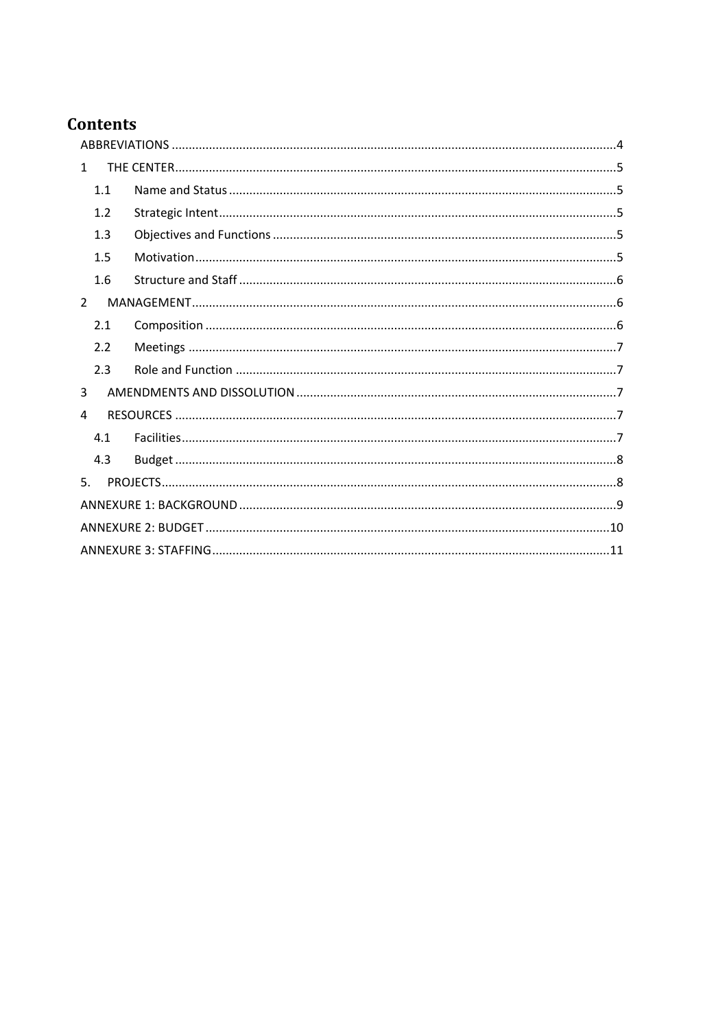# **Contents**

| $\mathbf{1}$   |     |  |  |  |  |
|----------------|-----|--|--|--|--|
|                | 1.1 |  |  |  |  |
|                | 1.2 |  |  |  |  |
|                | 1.3 |  |  |  |  |
|                | 1.5 |  |  |  |  |
|                | 1.6 |  |  |  |  |
| $\overline{2}$ |     |  |  |  |  |
|                | 2.1 |  |  |  |  |
|                | 2.2 |  |  |  |  |
|                | 2.3 |  |  |  |  |
| 3              |     |  |  |  |  |
| 4              |     |  |  |  |  |
|                | 4.1 |  |  |  |  |
|                | 4.3 |  |  |  |  |
| 5.             |     |  |  |  |  |
|                |     |  |  |  |  |
|                |     |  |  |  |  |
|                |     |  |  |  |  |
|                |     |  |  |  |  |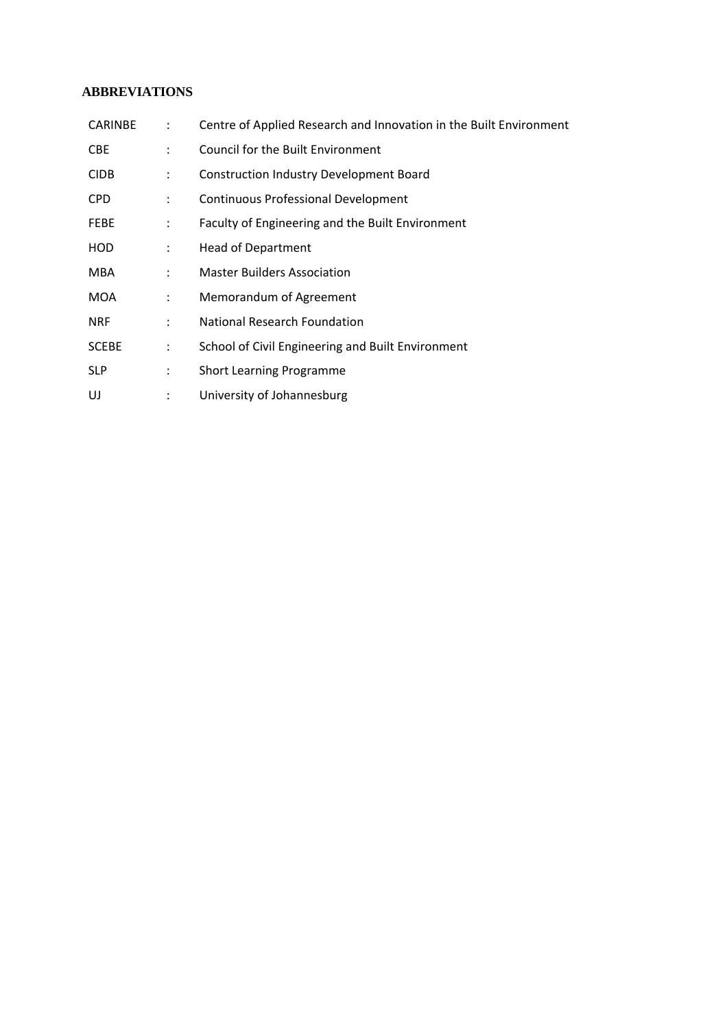## <span id="page-3-0"></span>**ABBREVIATIONS**

| <b>CARINBE</b> | $\mathbb{R}^n$            | Centre of Applied Research and Innovation in the Built Environment |
|----------------|---------------------------|--------------------------------------------------------------------|
| <b>CBE</b>     | $\mathbf{L}$              | <b>Council for the Built Environment</b>                           |
| <b>CIDB</b>    | ÷                         | <b>Construction Industry Development Board</b>                     |
| <b>CPD</b>     | $\mathcal{L}$             | <b>Continuous Professional Development</b>                         |
| <b>FEBE</b>    | $\mathcal{L}$             | Faculty of Engineering and the Built Environment                   |
| HOD            | $\ddot{\phantom{a}}$      | <b>Head of Department</b>                                          |
| <b>MBA</b>     | $\mathbb{R}^{\mathbb{Z}}$ | <b>Master Builders Association</b>                                 |
| MOA            | $\ddot{\phantom{0}}$      | Memorandum of Agreement                                            |
| <b>NRF</b>     | $\mathcal{L}$             | National Research Foundation                                       |
| <b>SCEBE</b>   | ÷                         | School of Civil Engineering and Built Environment                  |
| <b>SLP</b>     | $\mathbb{Z}^{\mathbb{Z}}$ | <b>Short Learning Programme</b>                                    |
| UJ             | ÷                         | University of Johannesburg                                         |
|                |                           |                                                                    |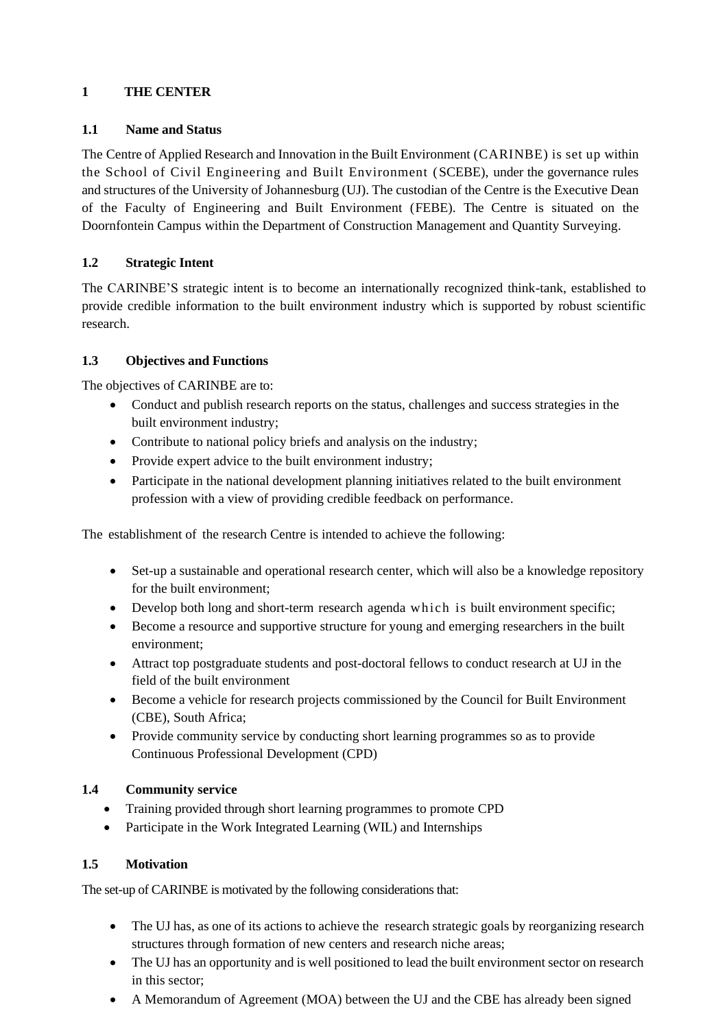## <span id="page-4-0"></span>**1 THE CENTER**

## <span id="page-4-1"></span>**1.1 Name and Status**

The Centre of Applied Research and Innovation in the Built Environment (CARINBE) is set up within the School of Civil Engineering and Built Environment (SCEBE), under the governance rules and structures of the University of Johannesburg (UJ). The custodian of the Centre is the Executive Dean of the Faculty of Engineering and Built Environment (FEBE). The Centre is situated on the Doornfontein Campus within the Department of Construction Management and Quantity Surveying.

## <span id="page-4-2"></span>**1.2 Strategic Intent**

The CARINBE'S strategic intent is to become an internationally recognized think-tank, established to provide credible information to the built environment industry which is supported by robust scientific research.

## <span id="page-4-3"></span>**1.3 Objectives and Functions**

The objectives of CARINBE are to:

- Conduct and publish research reports on the status, challenges and success strategies in the built environment industry;
- Contribute to national policy briefs and analysis on the industry;
- Provide expert advice to the built environment industry;
- Participate in the national development planning initiatives related to the built environment profession with a view of providing credible feedback on performance.

The establishment of the research Centre is intended to achieve the following:

- Set-up a sustainable and operational research center, which will also be a knowledge repository for the built environment;
- Develop both long and short-term research agenda which is built environment specific;
- Become a resource and supportive structure for young and emerging researchers in the built environment;
- Attract top postgraduate students and post-doctoral fellows to conduct research at UJ in the field of the built environment
- Become a vehicle for research projects commissioned by the Council for Built Environment (CBE), South Africa;
- Provide community service by conducting short learning programmes so as to provide Continuous Professional Development (CPD)

## **1.4 Community service**

- Training provided through short learning programmes to promote CPD
- Participate in the Work Integrated Learning (WIL) and Internships

## <span id="page-4-4"></span>**1.5 Motivation**

The set-up of CARINBE is motivated by the following considerations that:

- The UJ has, as one of its actions to achieve the research strategic goals by reorganizing research structures through formation of new centers and research niche areas;
- The UJ has an opportunity and is well positioned to lead the built environment sector on research in this sector;
- A Memorandum of Agreement (MOA) between the UJ and the CBE has already been signed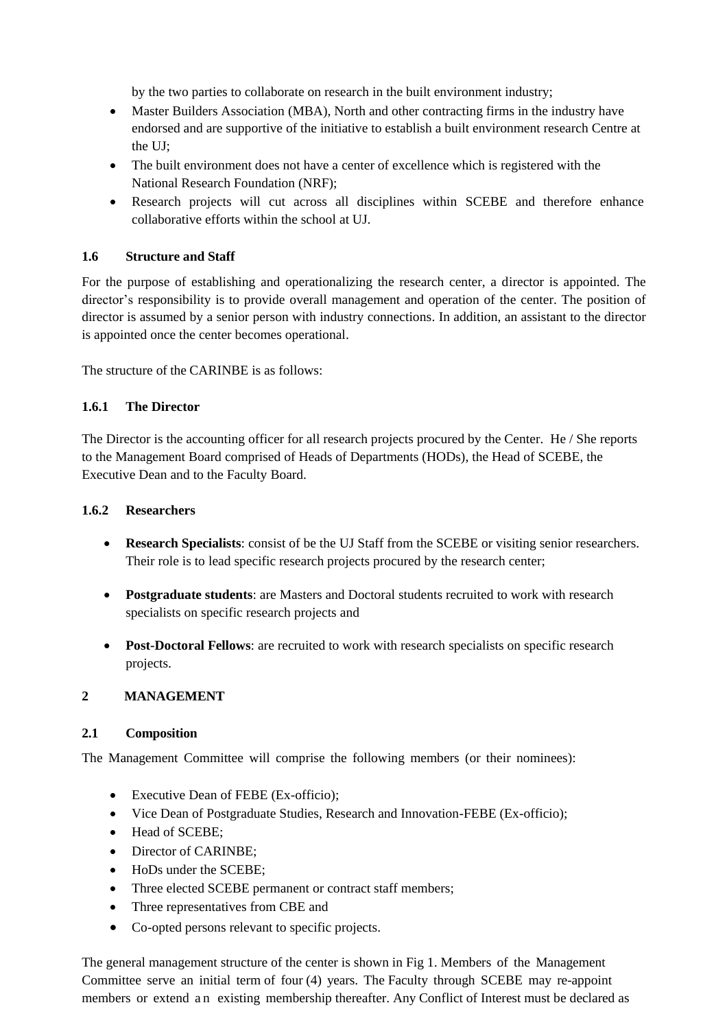by the two parties to collaborate on research in the built environment industry;

- Master Builders Association (MBA), North and other contracting firms in the industry have endorsed and are supportive of the initiative to establish a built environment research Centre at the UJ;
- The built environment does not have a center of excellence which is registered with the National Research Foundation (NRF);
- Research projects will cut across all disciplines within SCEBE and therefore enhance collaborative efforts within the school at UJ.

### <span id="page-5-0"></span>**1.6 Structure and Staff**

For the purpose of establishing and operationalizing the research center, a director is appointed. The director's responsibility is to provide overall management and operation of the center. The position of director is assumed by a senior person with industry connections. In addition, an assistant to the director is appointed once the center becomes operational.

The structure of the CARINBE is as follows:

## **1.6.1 The Director**

The Director is the accounting officer for all research projects procured by the Center. He / She reports to the Management Board comprised of Heads of Departments (HODs), the Head of SCEBE, the Executive Dean and to the Faculty Board.

#### **1.6.2 Researchers**

- **Research Specialists**: consist of be the UJ Staff from the SCEBE or visiting senior researchers. Their role is to lead specific research projects procured by the research center;
- **Postgraduate students**: are Masters and Doctoral students recruited to work with research specialists on specific research projects and
- **Post-Doctoral Fellows**: are recruited to work with research specialists on specific research projects.

## <span id="page-5-1"></span>**2 MANAGEMENT**

#### <span id="page-5-2"></span>**2.1 Composition**

The Management Committee will comprise the following members (or their nominees):

- Executive Dean of FEBE (Ex-officio);
- Vice Dean of Postgraduate Studies, Research and Innovation-FEBE (Ex-officio);
- Head of SCEBE;
- Director of CARINBE:
- HoDs under the SCEBE;
- Three elected SCEBE permanent or contract staff members;
- Three representatives from CBE and
- Co-opted persons relevant to specific projects.

The general management structure of the center is shown in Fig 1. Members of the Management Committee serve an initial term of four (4) years. The Faculty through SCEBE may re-appoint members or extend a n existing membership thereafter. Any Conflict of Interest must be declared as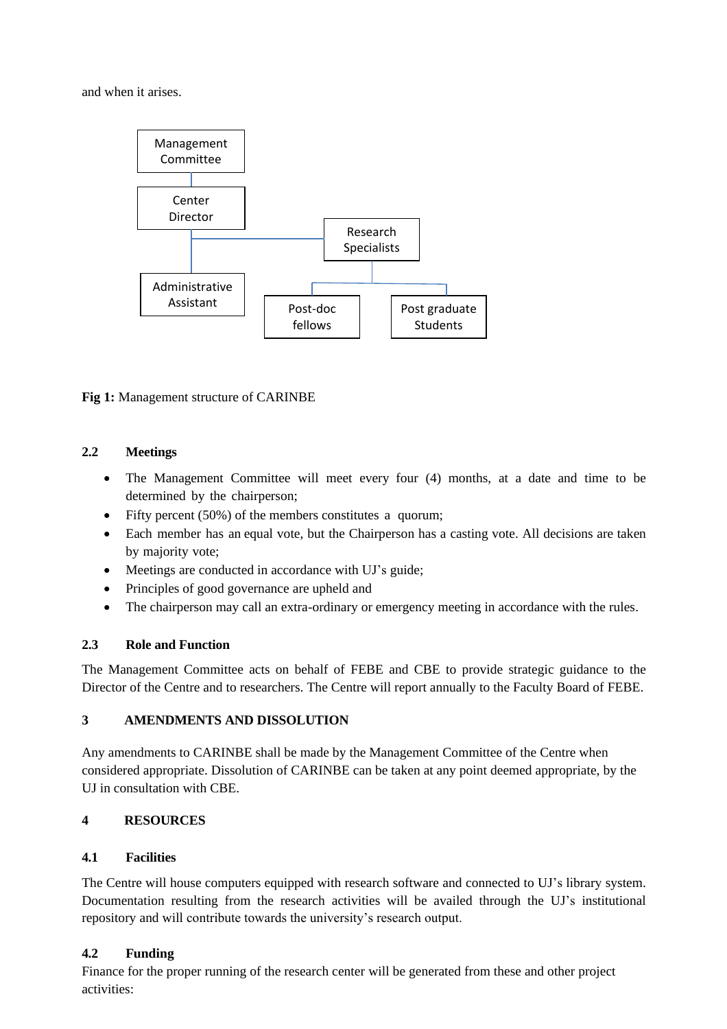and when it arises.



**Fig 1:** Management structure of CARINBE

## <span id="page-6-0"></span>**2.2 Meetings**

- The Management Committee will meet every four (4) months, at a date and time to be determined by the chairperson;
- Fifty percent (50%) of the members constitutes a quorum;
- Each member has an equal vote, but the Chairperson has a casting vote. All decisions are taken by majority vote;
- Meetings are conducted in accordance with UJ's guide;
- Principles of good governance are upheld and
- The chairperson may call an extra-ordinary or emergency meeting in accordance with the rules.

## <span id="page-6-1"></span>**2.3 Role and Function**

The Management Committee acts on behalf of FEBE and CBE to provide strategic guidance to the Director of the Centre and to researchers. The Centre will report annually to the Faculty Board of FEBE.

## <span id="page-6-2"></span>**3 AMENDMENTS AND DISSOLUTION**

Any amendments to CARINBE shall be made by the Management Committee of the Centre when considered appropriate. Dissolution of CARINBE can be taken at any point deemed appropriate, by the UJ in consultation with CBE.

## <span id="page-6-3"></span>**4 RESOURCES**

#### <span id="page-6-4"></span>**4.1 Facilities**

The Centre will house computers equipped with research software and connected to UJ's library system. Documentation resulting from the research activities will be availed through the UJ's institutional repository and will contribute towards the university's research output.

## **4.2 Funding**

Finance for the proper running of the research center will be generated from these and other project activities: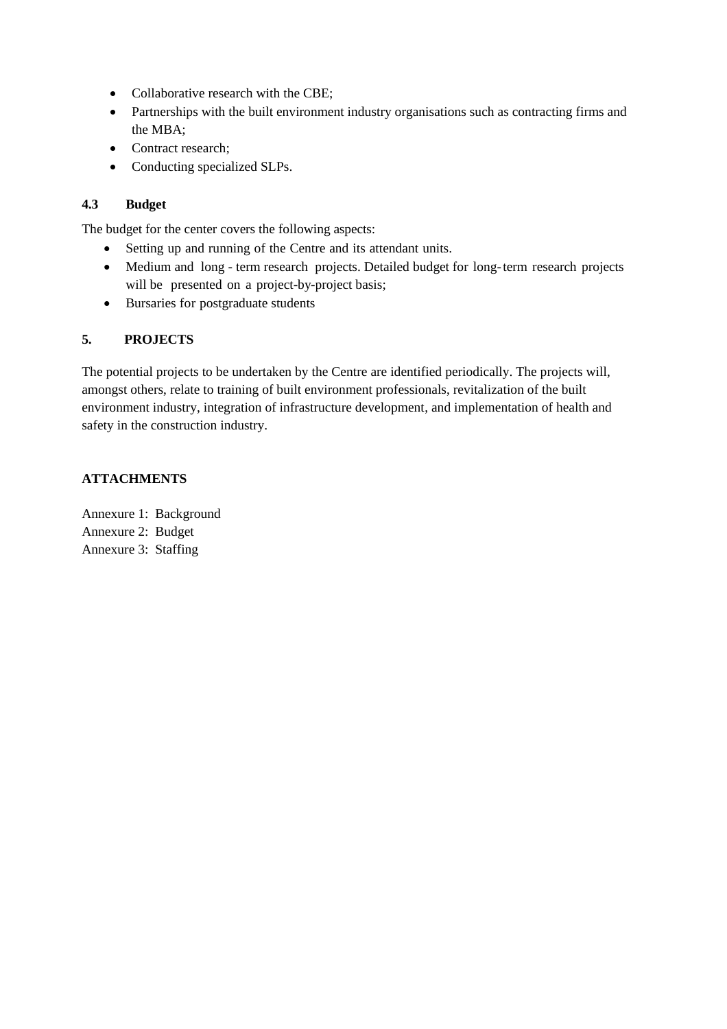- Collaborative research with the CBE;
- Partnerships with the built environment industry organisations such as contracting firms and the MBA;
- Contract research:
- Conducting specialized SLPs.

## <span id="page-7-0"></span>**4.3 Budget**

The budget for the center covers the following aspects:

- Setting up and running of the Centre and its attendant units.
- Medium and long term research projects. Detailed budget for long-term research projects will be presented on a project-by-project basis;
- Bursaries for postgraduate students

## <span id="page-7-1"></span>**5. PROJECTS**

The potential projects to be undertaken by the Centre are identified periodically. The projects will, amongst others, relate to training of built environment professionals, revitalization of the built environment industry, integration of infrastructure development, and implementation of health and safety in the construction industry.

## **ATTACHMENTS**

Annexure 1: Background Annexure 2: Budget Annexure 3: Staffing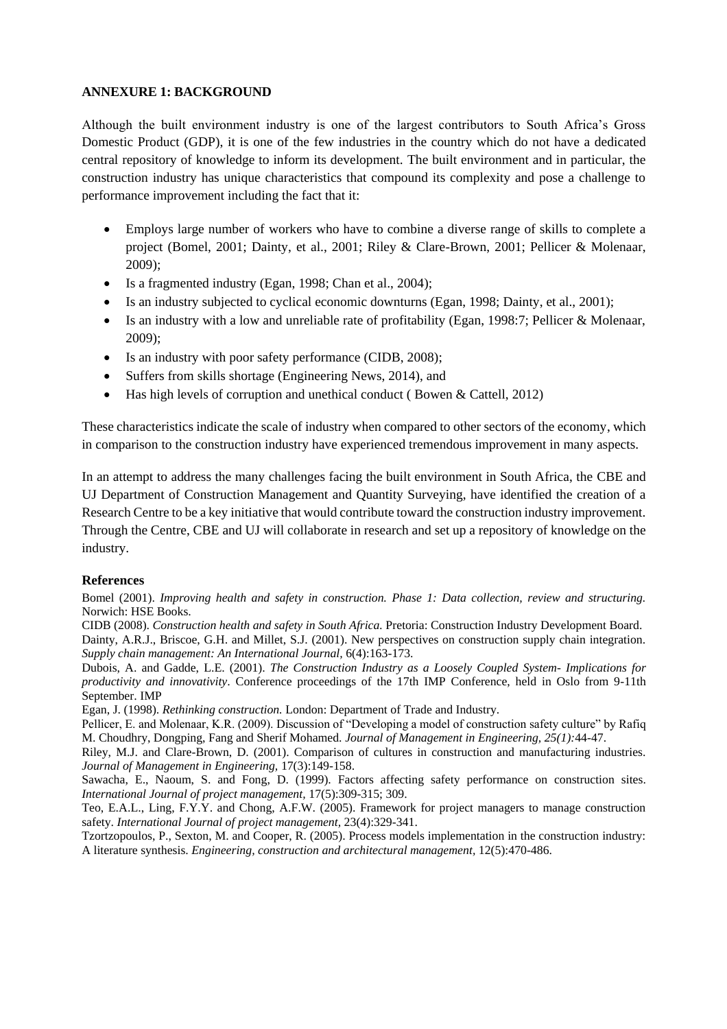#### <span id="page-8-0"></span>**ANNEXURE 1: BACKGROUND**

Although the built environment industry is one of the largest contributors to South Africa's Gross Domestic Product (GDP), it is one of the few industries in the country which do not have a dedicated central repository of knowledge to inform its development. The built environment and in particular, the construction industry has unique characteristics that compound its complexity and pose a challenge to performance improvement including the fact that it:

- Employs large number of workers who have to combine a diverse range of skills to complete a project (Bomel, 2001; Dainty, et al., 2001; Riley & Clare-Brown, 2001; Pellicer & Molenaar, 2009);
- Is a fragmented industry (Egan, 1998; Chan et al., 2004);
- Is an industry subjected to cyclical economic downturns (Egan, 1998; Dainty, et al., 2001);
- Is an industry with a low and unreliable rate of profitability (Egan, 1998:7; Pellicer & Molenaar, 2009);
- Is an industry with poor safety performance (CIDB, 2008);
- Suffers from skills shortage (Engineering News, 2014), and
- Has high levels of corruption and unethical conduct (Bowen & Cattell, 2012)

These characteristics indicate the scale of industry when compared to other sectors of the economy, which in comparison to the construction industry have experienced tremendous improvement in many aspects.

In an attempt to address the many challenges facing the built environment in South Africa, the CBE and UJ Department of Construction Management and Quantity Surveying, have identified the creation of a Research Centre to be a key initiative that would contribute toward the construction industry improvement. Through the Centre, CBE and UJ will collaborate in research and set up a repository of knowledge on the industry.

#### **References**

Bomel (2001). *Improving health and safety in construction. Phase 1: Data collection, review and structuring.*  Norwich: HSE Books.

CIDB (2008). *Construction health and safety in South Africa.* Pretoria: Construction Industry Development Board. Dainty, A.R.J., Briscoe, G.H. and Millet, S.J. (2001). New perspectives on construction supply chain integration. *Supply chain management: An International Journal,* 6(4):163-173.

Dubois, A. and Gadde, L.E. (2001). *The Construction Industry as a Loosely Coupled System- Implications for productivity and innovativity*. Conference proceedings of the 17th IMP Conference, held in Oslo from 9-11th September. IMP

Egan, J. (1998). *Rethinking construction.* London: Department of Trade and Industry.

Pellicer, E. and Molenaar, K.R. (2009). Discussion of "Developing a model of construction safety culture" by Rafiq M. Choudhry, Dongping, Fang and Sherif Mohamed. *Journal of Management in Engineering, 25(1):*44-47.

Riley, M.J. and Clare-Brown, D. (2001). Comparison of cultures in construction and manufacturing industries. *Journal of Management in Engineering,* 17(3):149-158.

Sawacha, E., Naoum, S. and Fong, D. (1999). Factors affecting safety performance on construction sites. *International Journal of project management,* 17(5):309-315; 309.

Teo, E.A.L., Ling, F.Y.Y. and Chong, A.F.W. (2005). Framework for project managers to manage construction safety. *International Journal of project management,* 23(4):329-341.

Tzortzopoulos, P., Sexton, M. and Cooper, R. (2005). Process models implementation in the construction industry: A literature synthesis. *Engineering, construction and architectural management,* 12(5):470-486.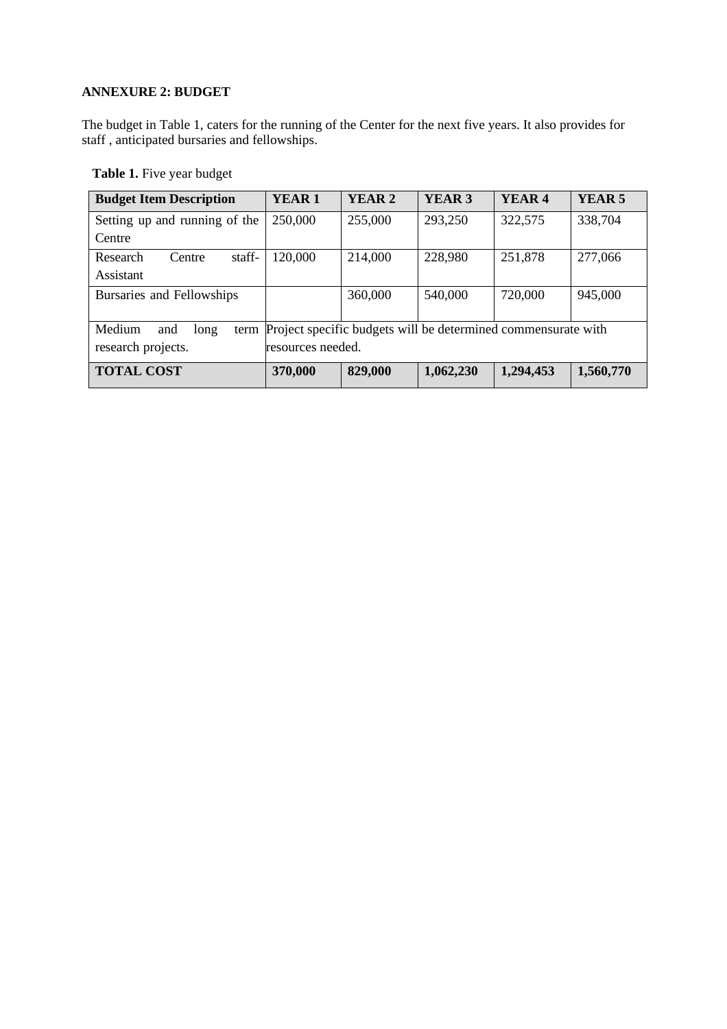## <span id="page-9-0"></span>**ANNEXURE 2: BUDGET**

The budget in Table 1, caters for the running of the Center for the next five years. It also provides for staff , anticipated bursaries and fellowships.

**Table 1.** Five year budget

| <b>Budget Item Description</b>                                                              | YEAR <sub>1</sub> | <b>YEAR 2</b> | YEAR <sub>3</sub> | YEAR <sub>4</sub> | YEAR <sub>5</sub> |
|---------------------------------------------------------------------------------------------|-------------------|---------------|-------------------|-------------------|-------------------|
| Setting up and running of the                                                               | 250,000           | 255,000       | 293,250           | 322,575           | 338,704           |
| Centre                                                                                      |                   |               |                   |                   |                   |
| staff-<br>Research<br>Centre                                                                | 120,000           | 214,000       | 228,980           | 251,878           | 277,066           |
| Assistant                                                                                   |                   |               |                   |                   |                   |
| Bursaries and Fellowships                                                                   |                   | 360,000       | 540,000           | 720,000           | 945,000           |
|                                                                                             |                   |               |                   |                   |                   |
| term Project specific budgets will be determined commensurate with<br>Medium<br>and<br>long |                   |               |                   |                   |                   |
| research projects.<br>resources needed.                                                     |                   |               |                   |                   |                   |
| <b>TOTAL COST</b>                                                                           | 370,000           | 829,000       | 1,062,230         | 1,294,453         | 1,560,770         |